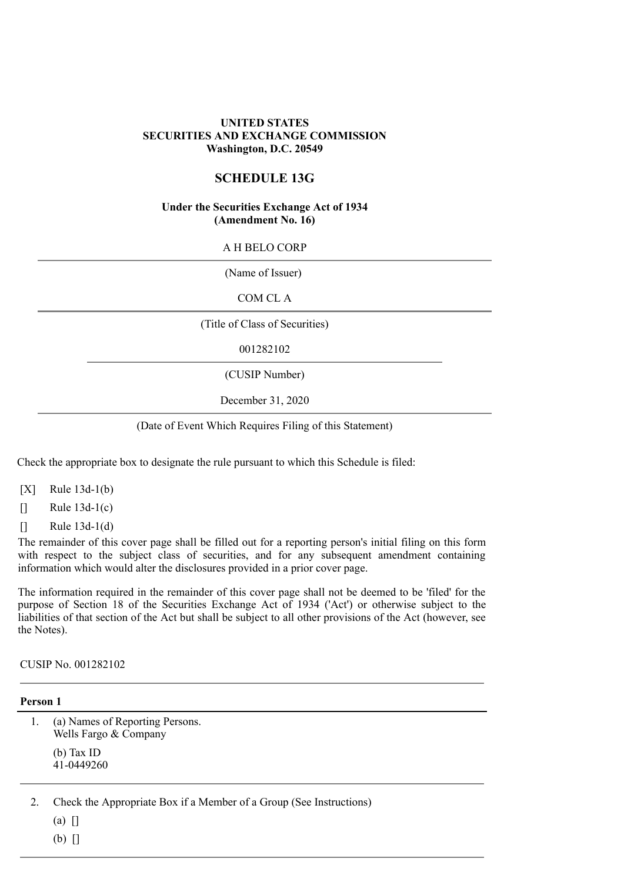# **UNITED STATES SECURITIES AND EXCHANGE COMMISSION Washington, D.C. 20549**

# **SCHEDULE 13G**

#### **Under the Securities Exchange Act of 1934 (Amendment No. 16)**

#### A H BELO CORP

(Name of Issuer)

COM CL A

(Title of Class of Securities)

001282102

(CUSIP Number)

December 31, 2020

#### (Date of Event Which Requires Filing of this Statement)

Check the appropriate box to designate the rule pursuant to which this Schedule is filed:

- $[X]$  Rule 13d-1(b)
- $\lceil \rceil$  Rule 13d-1(c)
- $\lceil \rceil$  Rule 13d-1(d)

The remainder of this cover page shall be filled out for a reporting person's initial filing on this form with respect to the subject class of securities, and for any subsequent amendment containing information which would alter the disclosures provided in a prior cover page.

The information required in the remainder of this cover page shall not be deemed to be 'filed' for the purpose of Section 18 of the Securities Exchange Act of 1934 ('Act') or otherwise subject to the liabilities of that section of the Act but shall be subject to all other provisions of the Act (however, see the Notes).

CUSIP No. 001282102

#### **Person 1**

1. (a) Names of Reporting Persons. Wells Fargo & Company (b) Tax ID 41-0449260

2. Check the Appropriate Box if a Member of a Group (See Instructions)

 $(a)$   $\Box$ 

(b) []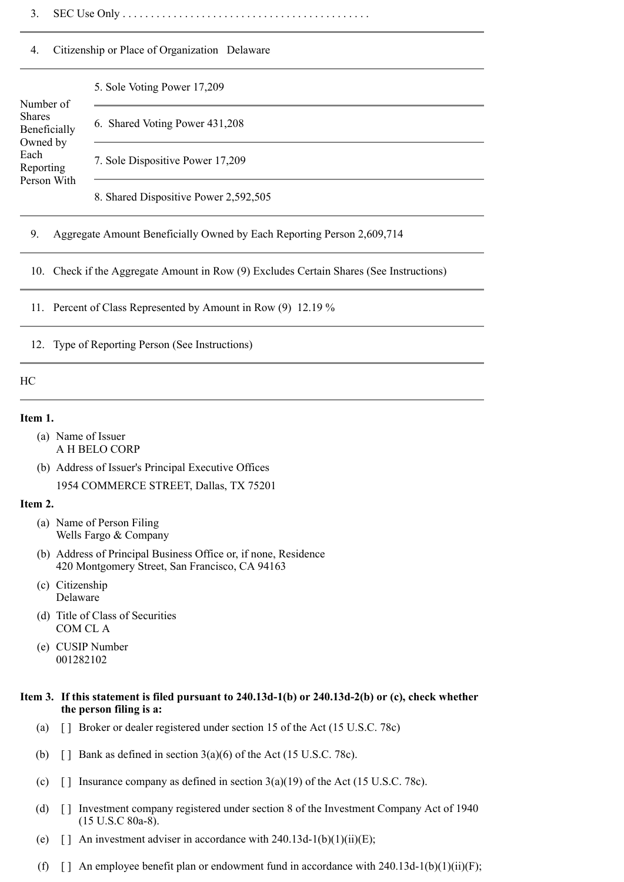3. SEC Use Only . . . . . . . . . . . . . . . . . . . . . . . . . . . . . . . . . . . . . . . . . . . .

### 4. Citizenship or Place of Organization Delaware

#### 5. Sole Voting Power 17,209

### Number of Shares Beneficially Owned by Each Reporting Person With

6. Shared Voting Power 431,208

7. Sole Dispositive Power 17,209

8. Shared Dispositive Power 2,592,505

# 9. Aggregate Amount Beneficially Owned by Each Reporting Person 2,609,714

10. Check if the Aggregate Amount in Row (9) Excludes Certain Shares (See Instructions)

11. Percent of Class Represented by Amount in Row (9) 12.19 %

12. Type of Reporting Person (See Instructions)

#### HC

#### **Item 1.**

- (a) Name of Issuer A H BELO CORP
- (b) Address of Issuer's Principal Executive Offices 1954 COMMERCE STREET, Dallas, TX 75201

#### **Item 2.**

- (a) Name of Person Filing Wells Fargo & Company
- (b) Address of Principal Business Office or, if none, Residence 420 Montgomery Street, San Francisco, CA 94163
- (c) Citizenship Delaware
- (d) Title of Class of Securities COM CL A
- (e) CUSIP Number 001282102

## **Item 3. If this statement is filed pursuant to 240.13d-1(b) or 240.13d-2(b) or (c), check whether the person filing is a:**

- (a) [ ] Broker or dealer registered under section 15 of the Act (15 U.S.C. 78c)
- (b)  $\Box$  Bank as defined in section 3(a)(6) of the Act (15 U.S.C. 78c).
- (c) [] Insurance company as defined in section  $3(a)(19)$  of the Act (15 U.S.C. 78c).
- (d) [ ] Investment company registered under section 8 of the Investment Company Act of 1940 (15 U.S.C 80a-8).
- (e)  $\lceil \cdot \rceil$  An investment adviser in accordance with 240.13d-1(b)(1)(ii)(E);
- (f)  $\lceil \cdot \rceil$  An employee benefit plan or endowment fund in accordance with 240.13d-1(b)(1)(ii)(F);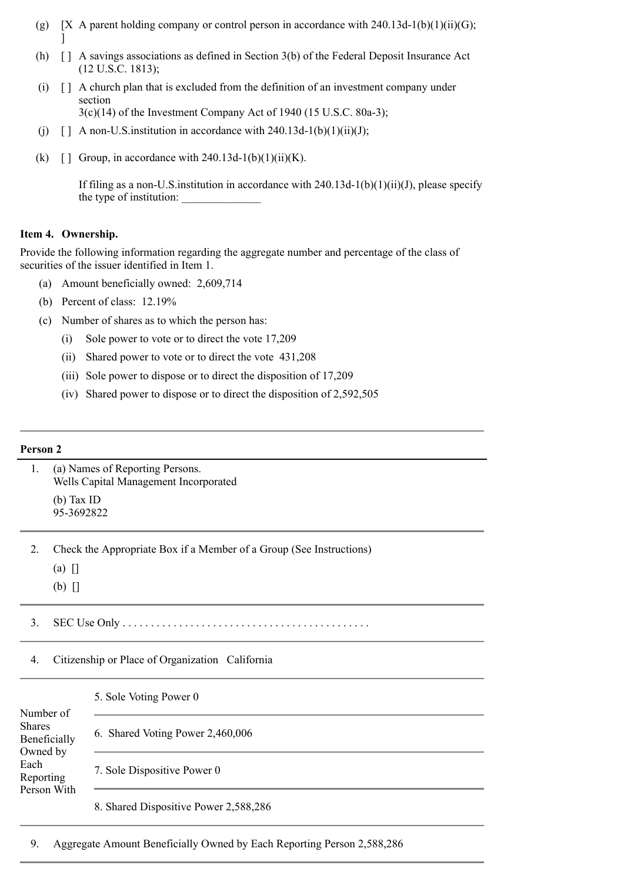- (g)  $[X \, A$  parent holding company or control person in accordance with 240.13d-1(b)(1)(ii)(G); ]
- (h) [ ] A savings associations as defined in Section 3(b) of the Federal Deposit Insurance Act (12 U.S.C. 1813);
- (i) [ ] A church plan that is excluded from the definition of an investment company under section 3(c)(14) of the Investment Company Act of 1940 (15 U.S.C. 80a-3);
- (j)  $\left[ \right]$  A non-U.S. institution in accordance with 240.13d-1(b)(1)(ii)(J);
- (k)  $\lceil \cdot \rceil$  Group, in accordance with 240.13d-1(b)(1)(ii)(K).

If filing as a non-U.S. institution in accordance with  $240.13d-1(b)(1)(ii)(J)$ , please specify the type of institution:

# **Item 4. Ownership.**

Provide the following information regarding the aggregate number and percentage of the class of securities of the issuer identified in Item 1.

- (a) Amount beneficially owned: 2,609,714
- (b) Percent of class: 12.19%
- (c) Number of shares as to which the person has:
	- (i) Sole power to vote or to direct the vote 17,209
	- (ii) Shared power to vote or to direct the vote 431,208
	- (iii) Sole power to dispose or to direct the disposition of 17,209
	- (iv) Shared power to dispose or to direct the disposition of 2,592,505

# **Person 2**

| 1.                                                                            |                                                                                             | (a) Names of Reporting Persons.<br>Wells Capital Management Incorporated |  |  |  |  |
|-------------------------------------------------------------------------------|---------------------------------------------------------------------------------------------|--------------------------------------------------------------------------|--|--|--|--|
|                                                                               | (b) Tax ID<br>95-3692822                                                                    |                                                                          |  |  |  |  |
| $\overline{2}$ .                                                              | Check the Appropriate Box if a Member of a Group (See Instructions)<br>$(a)$ []<br>$(b)$ [] |                                                                          |  |  |  |  |
| 3.                                                                            |                                                                                             |                                                                          |  |  |  |  |
| 4.                                                                            | Citizenship or Place of Organization California                                             |                                                                          |  |  |  |  |
| Number of                                                                     |                                                                                             | 5. Sole Voting Power 0                                                   |  |  |  |  |
| <b>Shares</b><br>Beneficially<br>Owned by<br>Each<br>Reporting<br>Person With |                                                                                             | 6. Shared Voting Power 2,460,006                                         |  |  |  |  |
|                                                                               |                                                                                             | 7. Sole Dispositive Power 0                                              |  |  |  |  |
|                                                                               |                                                                                             | 8. Shared Dispositive Power 2,588,286                                    |  |  |  |  |

9. Aggregate Amount Beneficially Owned by Each Reporting Person 2,588,286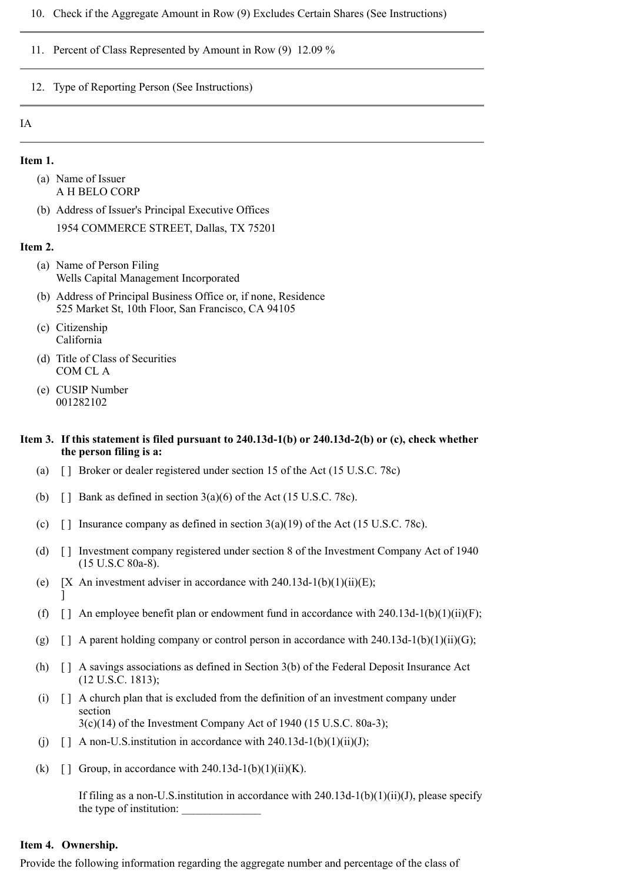- 10. Check if the Aggregate Amount in Row (9) Excludes Certain Shares (See Instructions)
- 11. Percent of Class Represented by Amount in Row (9) 12.09 %
- 12. Type of Reporting Person (See Instructions)

### IA

#### **Item 1.**

- (a) Name of Issuer A H BELO CORP
- (b) Address of Issuer's Principal Executive Offices 1954 COMMERCE STREET, Dallas, TX 75201

#### **Item 2.**

- (a) Name of Person Filing Wells Capital Management Incorporated
- (b) Address of Principal Business Office or, if none, Residence 525 Market St, 10th Floor, San Francisco, CA 94105
- (c) Citizenship California
- (d) Title of Class of Securities COM CL A
- (e) CUSIP Number 001282102

#### **Item 3. If this statement is filed pursuant to 240.13d-1(b) or 240.13d-2(b) or (c), check whether the person filing is a:**

- (a) [ ] Broker or dealer registered under section 15 of the Act (15 U.S.C. 78c)
- (b)  $\Box$  Bank as defined in section 3(a)(6) of the Act (15 U.S.C. 78c).
- (c)  $\lceil \cdot \rceil$  Insurance company as defined in section 3(a)(19) of the Act (15 U.S.C. 78c).
- (d) [ ] Investment company registered under section 8 of the Investment Company Act of 1940 (15 U.S.C 80a-8).
- (e)  $[X \text{ An investment advisor in accordance with } 240.13d-1(b)(1)(ii)(E);$ ]
- (f)  $\lceil \cdot \rceil$  An employee benefit plan or endowment fund in accordance with 240.13d-1(b)(1)(ii)(F);
- (g)  $\lceil$  A parent holding company or control person in accordance with 240.13d-1(b)(1)(ii)(G);
- (h) [ ] A savings associations as defined in Section 3(b) of the Federal Deposit Insurance Act (12 U.S.C. 1813);
- (i) [ ] A church plan that is excluded from the definition of an investment company under section 3(c)(14) of the Investment Company Act of 1940 (15 U.S.C. 80a-3);
- (i)  $\Box$  A non-U.S. institution in accordance with 240.13d-1(b)(1)(ii)(J);
- (k)  $\lceil \cdot \rceil$  Group, in accordance with 240.13d-1(b)(1)(ii)(K).

If filing as a non-U.S. institution in accordance with  $240.13d-1(b)(1)(ii)(J)$ , please specify the type of institution:

#### **Item 4. Ownership.**

Provide the following information regarding the aggregate number and percentage of the class of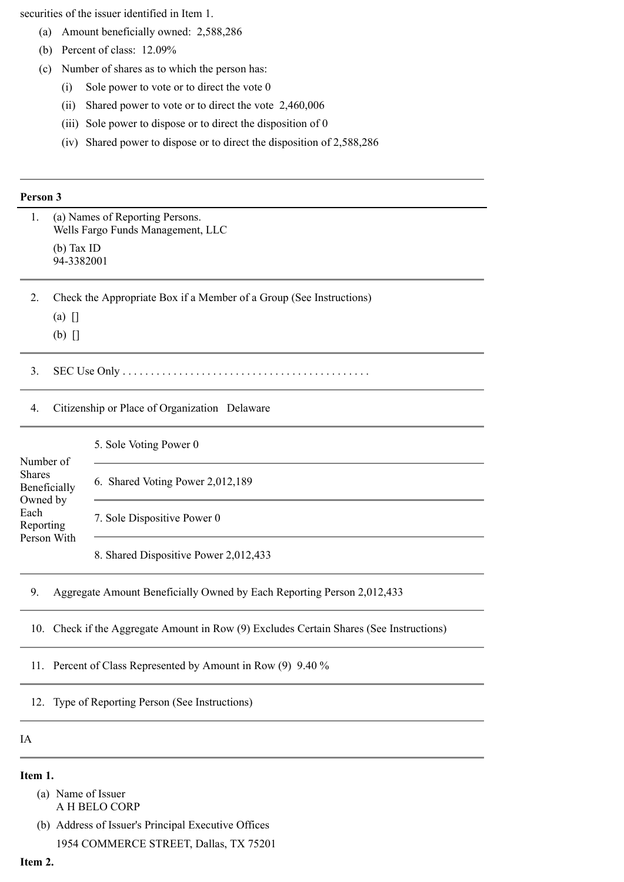securities of the issuer identified in Item 1.

- (a) Amount beneficially owned: 2,588,286
- (b) Percent of class: 12.09%
- (c) Number of shares as to which the person has:
	- (i) Sole power to vote or to direct the vote 0
	- (ii) Shared power to vote or to direct the vote 2,460,006
	- (iii) Sole power to dispose or to direct the disposition of 0
	- (iv) Shared power to dispose or to direct the disposition of 2,588,286

#### **Person 3**

| 1.                                                                                         | (a) Names of Reporting Persons.<br>Wells Fargo Funds Management, LLC |                                                                                     |  |  |
|--------------------------------------------------------------------------------------------|----------------------------------------------------------------------|-------------------------------------------------------------------------------------|--|--|
|                                                                                            | $(b)$ Tax ID<br>94-3382001                                           |                                                                                     |  |  |
| $\overline{2}$ .                                                                           | Check the Appropriate Box if a Member of a Group (See Instructions)  |                                                                                     |  |  |
|                                                                                            | (a)                                                                  |                                                                                     |  |  |
|                                                                                            | $(b)$ []                                                             |                                                                                     |  |  |
| 3.                                                                                         |                                                                      |                                                                                     |  |  |
| 4.                                                                                         | Citizenship or Place of Organization Delaware                        |                                                                                     |  |  |
| Number of<br><b>Shares</b><br>Beneficially<br>Owned by<br>Each<br>Reporting<br>Person With |                                                                      | 5. Sole Voting Power 0                                                              |  |  |
|                                                                                            |                                                                      | 6. Shared Voting Power 2,012,189                                                    |  |  |
|                                                                                            |                                                                      | 7. Sole Dispositive Power 0                                                         |  |  |
|                                                                                            |                                                                      | 8. Shared Dispositive Power 2,012,433                                               |  |  |
| 9.                                                                                         |                                                                      | Aggregate Amount Beneficially Owned by Each Reporting Person 2,012,433              |  |  |
| 10.                                                                                        |                                                                      | Check if the Aggregate Amount in Row (9) Excludes Certain Shares (See Instructions) |  |  |

11. Percent of Class Represented by Amount in Row (9) 9.40 %

12. Type of Reporting Person (See Instructions)

IA

# **Item 1.**

(a) Name of Issuer A H BELO CORP

(b) Address of Issuer's Principal Executive Offices 1954 COMMERCE STREET, Dallas, TX 75201

# **Item 2.**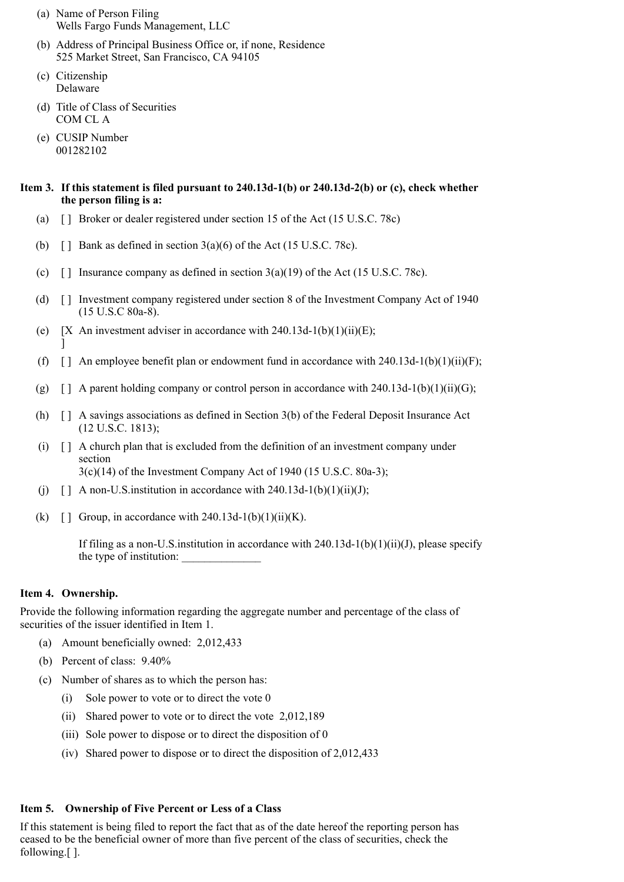- (a) Name of Person Filing Wells Fargo Funds Management, LLC
- (b) Address of Principal Business Office or, if none, Residence 525 Market Street, San Francisco, CA 94105
- (c) Citizenship Delaware
- (d) Title of Class of Securities COM CL A
- (e) CUSIP Number 001282102

# **Item 3. If this statement is filed pursuant to 240.13d-1(b) or 240.13d-2(b) or (c), check whether the person filing is a:**

- (a) [ ] Broker or dealer registered under section 15 of the Act (15 U.S.C. 78c)
- (b)  $\Box$  Bank as defined in section 3(a)(6) of the Act (15 U.S.C. 78c).
- (c)  $\lceil \cdot \rceil$  Insurance company as defined in section 3(a)(19) of the Act (15 U.S.C. 78c).
- (d) [ ] Investment company registered under section 8 of the Investment Company Act of 1940 (15 U.S.C 80a-8).
- (e)  $[X \text{ An investment advisor in accordance with } 240.13d-1(b)(1)(ii)(E);$ ]
- (f)  $\lceil \cdot \rceil$  An employee benefit plan or endowment fund in accordance with 240.13d-1(b)(1)(ii)(F);
- (g)  $\lceil$  | A parent holding company or control person in accordance with 240.13d-1(b)(1)(ii)(G);
- (h) [ ] A savings associations as defined in Section 3(b) of the Federal Deposit Insurance Act (12 U.S.C. 1813);
- (i) [ ] A church plan that is excluded from the definition of an investment company under section 3(c)(14) of the Investment Company Act of 1940 (15 U.S.C. 80a-3);
- (i)  $\lceil$  A non-U.S. institution in accordance with 240.13d-1(b)(1)(ii)(J);
- (k)  $\lceil \cdot \rceil$  Group, in accordance with 240.13d-1(b)(1)(ii)(K).

If filing as a non-U.S. institution in accordance with  $240.13d-1(b)(1)(ii)(J)$ , please specify the type of institution:

# **Item 4. Ownership.**

Provide the following information regarding the aggregate number and percentage of the class of securities of the issuer identified in Item 1.

- (a) Amount beneficially owned: 2,012,433
- (b) Percent of class: 9.40%
- (c) Number of shares as to which the person has:
	- (i) Sole power to vote or to direct the vote 0
	- (ii) Shared power to vote or to direct the vote 2,012,189
	- (iii) Sole power to dispose or to direct the disposition of 0
	- (iv) Shared power to dispose or to direct the disposition of 2,012,433

# **Item 5. Ownership of Five Percent or Less of a Class**

If this statement is being filed to report the fact that as of the date hereof the reporting person has ceased to be the beneficial owner of more than five percent of the class of securities, check the following.[ ].